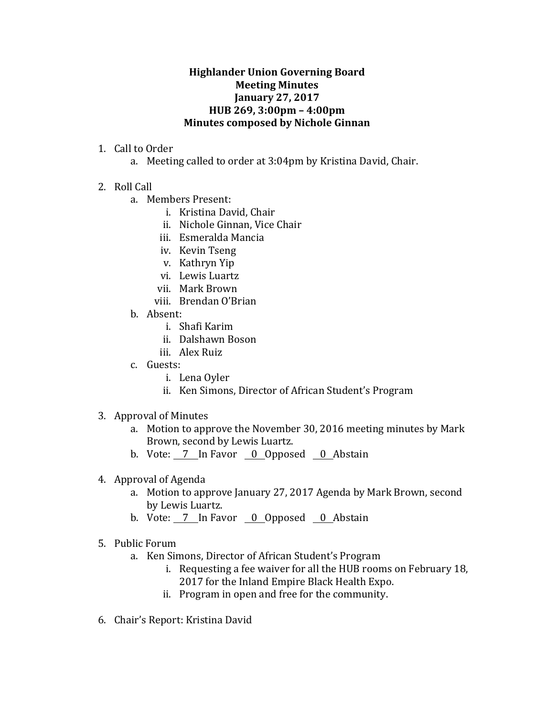## **Highlander Union Governing Board Meeting Minutes January 27, 2017 HUB 269, 3:00pm – 4:00pm Minutes composed by Nichole Ginnan**

- 1. Call to Order
	- a. Meeting called to order at 3:04pm by Kristina David, Chair.
- 2. Roll Call
	- a. Members Present:
		- i. Kristina David, Chair
		- ii. Nichole Ginnan, Vice Chair
		- iii. Esmeralda Mancia
		- iv. Kevin Tseng
		- v. Kathryn Yip
		- vi. Lewis Luartz
		- vii. Mark Brown
		- viii. Brendan O'Brian
	- b. Absent:
		- i. Shafi Karim
		- ii. Dalshawn Boson
		- iii. Alex Ruiz
	- c. Guests:
		- i. Lena Oyler
		- ii. Ken Simons, Director of African Student's Program
- 3. Approval of Minutes
	- a. Motion to approve the November 30, 2016 meeting minutes by Mark Brown, second by Lewis Luartz.
	- b. Vote: 7 In Favor 0 Opposed 0 Abstain
- 4. Approval of Agenda
	- a. Motion to approve January 27, 2017 Agenda by Mark Brown, second by Lewis Luartz.
	- b. Vote:  $\overline{7}$  In Favor  $\overline{0}$  Opposed  $\overline{0}$  Abstain
- 5. Public Forum
	- a. Ken Simons, Director of African Student's Program
		- i. Requesting a fee waiver for all the HUB rooms on February 18, 2017 for the Inland Empire Black Health Expo.
		- ii. Program in open and free for the community.
- 6. Chair's Report: Kristina David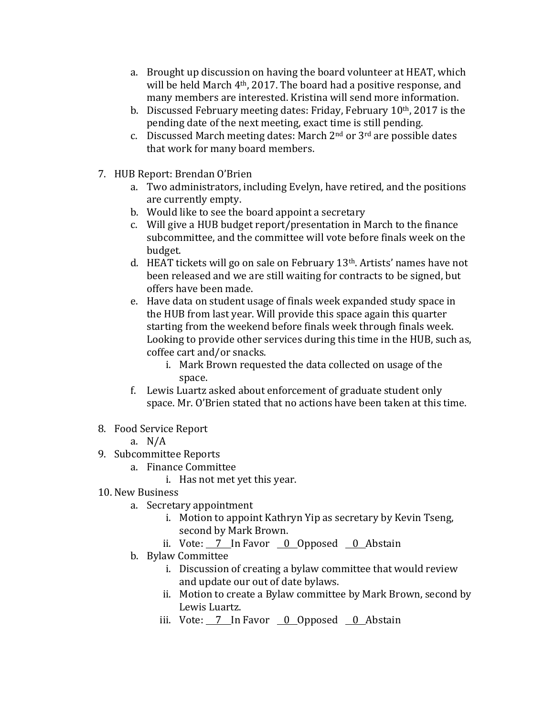- a. Brought up discussion on having the board volunteer at HEAT, which will be held March  $4<sup>th</sup>$ , 2017. The board had a positive response, and many members are interested. Kristina will send more information.
- b. Discussed February meeting dates: Friday, February  $10<sup>th</sup>$ , 2017 is the pending date of the next meeting, exact time is still pending.
- c. Discussed March meeting dates: March  $2<sup>nd</sup>$  or  $3<sup>rd</sup>$  are possible dates that work for many board members.
- 7. HUB Report: Brendan O'Brien
	- a. Two administrators, including Evelyn, have retired, and the positions are currently empty.
	- b. Would like to see the board appoint a secretary
	- c. Will give a HUB budget report/presentation in March to the finance subcommittee, and the committee will vote before finals week on the budget.
	- d. HEAT tickets will go on sale on February  $13<sup>th</sup>$ . Artists' names have not been released and we are still waiting for contracts to be signed, but offers have been made.
	- e. Have data on student usage of finals week expanded study space in the HUB from last year. Will provide this space again this quarter starting from the weekend before finals week through finals week. Looking to provide other services during this time in the HUB, such as, coffee cart and/or snacks.
		- i. Mark Brown requested the data collected on usage of the space.
	- f. Lewis Luartz asked about enforcement of graduate student only space. Mr. O'Brien stated that no actions have been taken at this time.
- 8. Food Service Report
	- a. N/A
- 9. Subcommittee Reports
	- a. Finance Committee
		- i. Has not met yet this year.
- 10. New Business
	- a. Secretary appointment
		- i. Motion to appoint Kathryn Yip as secretary by Kevin Tseng, second by Mark Brown.
		- ii. Vote: 7 In Favor 0 Opposed 0 Abstain
	- b. Bylaw Committee
		- i. Discussion of creating a bylaw committee that would review and update our out of date bylaws.
		- ii. Motion to create a Bylaw committee by Mark Brown, second by Lewis Luartz.
		- iii. Vote:  $\frac{7}{10}$  In Favor  $\frac{0}{0}$  Opposed  $\frac{0}{0}$  Abstain